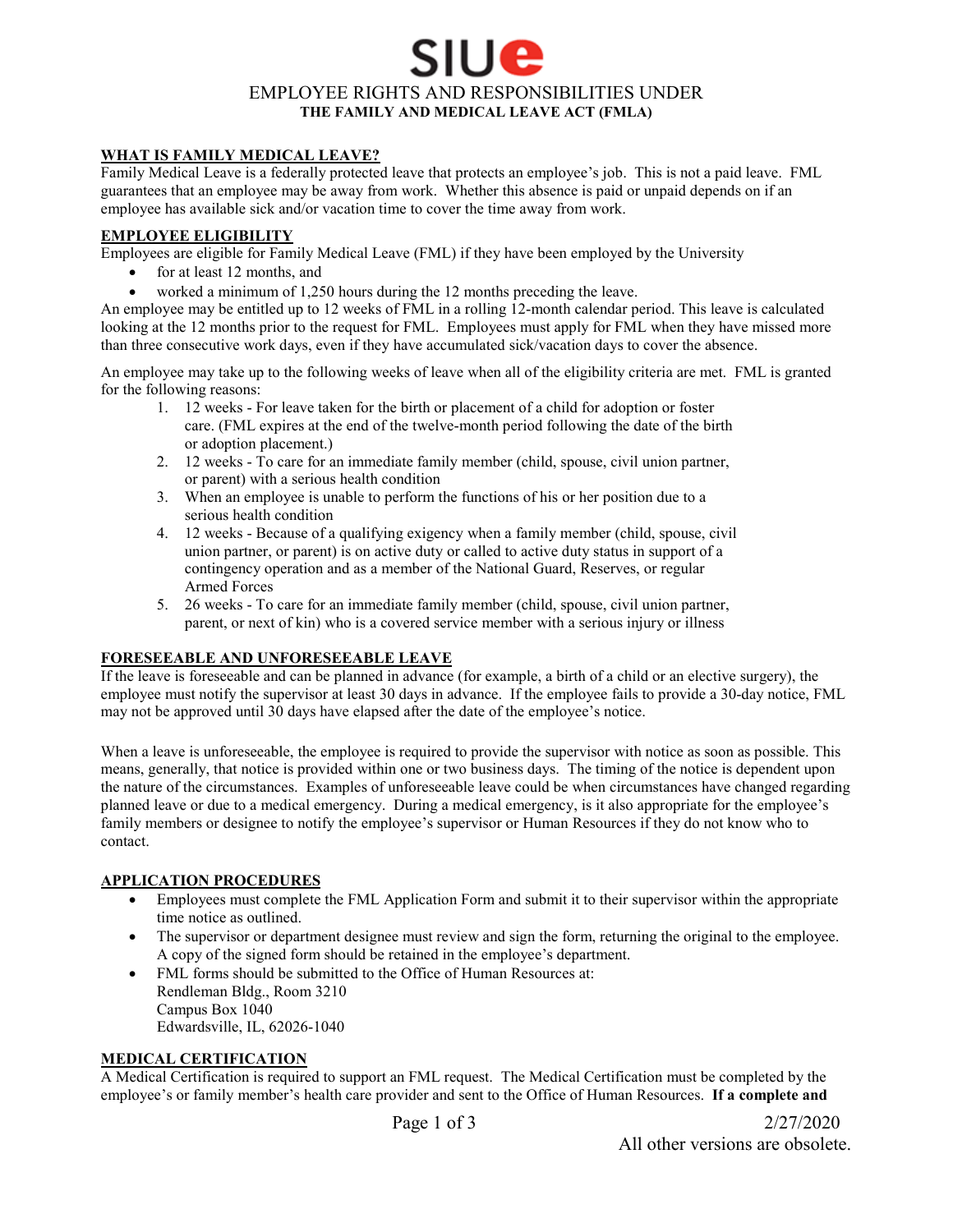# sit l**e** EMPLOYEE RIGHTS AND RESPONSIBILITIES UNDER **THE FAMILY AND MEDICAL LEAVE ACT (FMLA)**

## **WHAT IS FAMILY MEDICAL LEAVE?**

Family Medical Leave is a federally protected leave that protects an employee's job. This is not a paid leave. FML guarantees that an employee may be away from work. Whether this absence is paid or unpaid depends on if an employee has available sick and/or vacation time to cover the time away from work.

## **EMPLOYEE ELIGIBILITY**

Employees are eligible for Family Medical Leave (FML) if they have been employed by the University

- for at least 12 months, and
- worked a minimum of 1,250 hours during the 12 months preceding the leave.

An employee may be entitled up to 12 weeks of FML in a rolling 12-month calendar period. This leave is calculated looking at the 12 months prior to the request for FML. Employees must apply for FML when they have missed more than three consecutive work days, even if they have accumulated sick/vacation days to cover the absence.

An employee may take up to the following weeks of leave when all of the eligibility criteria are met. FML is granted for the following reasons:

- 1. 12 weeks For leave taken for the birth or placement of a child for adoption or foster care. (FML expires at the end of the twelve-month period following the date of the birth or adoption placement.)
- 2. 12 weeks To care for an immediate family member (child, spouse, civil union partner, or parent) with a serious health condition
- 3. When an employee is unable to perform the functions of his or her position due to a serious health condition
- 4. 12 weeks Because of a qualifying exigency when a family member (child, spouse, civil union partner, or parent) is on active duty or called to active duty status in support of a contingency operation and as a member of the National Guard, Reserves, or regular Armed Forces
- 5. 26 weeks To care for an immediate family member (child, spouse, civil union partner, parent, or next of kin) who is a covered service member with a serious injury or illness

## **FORESEEABLE AND UNFORESEEABLE LEAVE**

If the leave is foreseeable and can be planned in advance (for example, a birth of a child or an elective surgery), the employee must notify the supervisor at least 30 days in advance. If the employee fails to provide a 30-day notice, FML may not be approved until 30 days have elapsed after the date of the employee's notice.

When a leave is unforeseeable, the employee is required to provide the supervisor with notice as soon as possible. This means, generally, that notice is provided within one or two business days. The timing of the notice is dependent upon the nature of the circumstances. Examples of unforeseeable leave could be when circumstances have changed regarding planned leave or due to a medical emergency. During a medical emergency, is it also appropriate for the employee's family members or designee to notify the employee's supervisor or Human Resources if they do not know who to contact.

## **APPLICATION PROCEDURES**

- Employees must complete the FML Application Form and submit it to their supervisor within the appropriate time notice as outlined.
- The supervisor or department designee must review and sign the form, returning the original to the employee. A copy of the signed form should be retained in the employee's department.
- FML forms should be submitted to the Office of Human Resources at: Rendleman Bldg., Room 3210 Campus Box 1040 Edwardsville, IL, 62026-1040

#### **MEDICAL CERTIFICATION**

A Medical Certification is required to support an FML request. The Medical Certification must be completed by the employee's or family member's health care provider and sent to the Office of Human Resources. **If a complete and** 

All other versions are obsolete.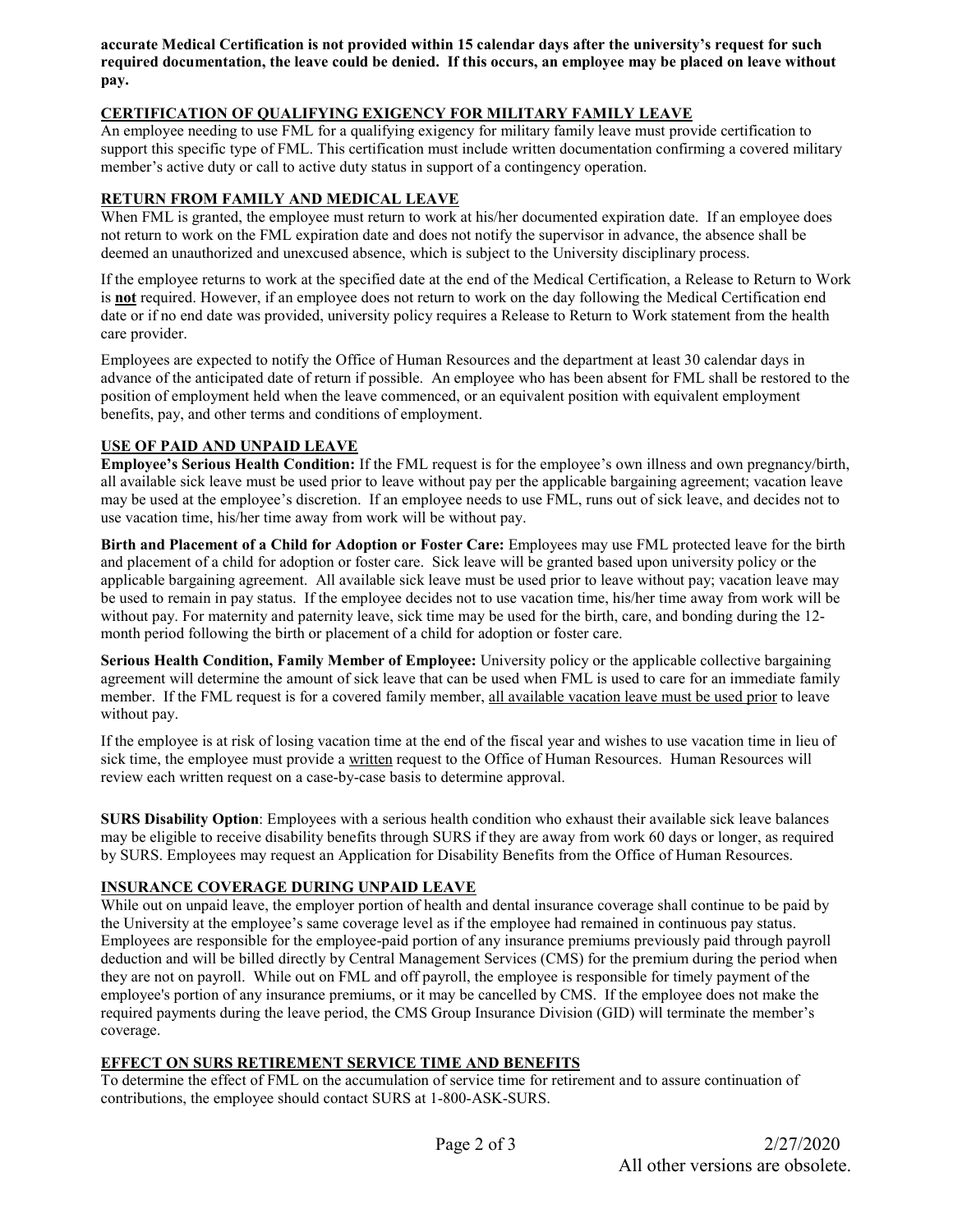**accurate Medical Certification is not provided within 15 calendar days after the university's request for such required documentation, the leave could be denied. If this occurs, an employee may be placed on leave without pay.** 

# **CERTIFICATION OF QUALIFYING EXIGENCY FOR MILITARY FAMILY LEAVE**

An employee needing to use FML for a qualifying exigency for military family leave must provide certification to support this specific type of FML. This certification must include written documentation confirming a covered military member's active duty or call to active duty status in support of a contingency operation.

## **RETURN FROM FAMILY AND MEDICAL LEAVE**

When FML is granted, the employee must return to work at his/her documented expiration date. If an employee does not return to work on the FML expiration date and does not notify the supervisor in advance, the absence shall be deemed an unauthorized and unexcused absence, which is subject to the University disciplinary process.

If the employee returns to work at the specified date at the end of the Medical Certification, a Release to Return to Work is **not** required. However, if an employee does not return to work on the day following the Medical Certification end date or if no end date was provided, university policy requires a Release to Return to Work statement from the health care provider.

Employees are expected to notify the Office of Human Resources and the department at least 30 calendar days in advance of the anticipated date of return if possible. An employee who has been absent for FML shall be restored to the position of employment held when the leave commenced, or an equivalent position with equivalent employment benefits, pay, and other terms and conditions of employment.

#### **USE OF PAID AND UNPAID LEAVE**

**Employee's Serious Health Condition:** If the FML request is for the employee's own illness and own pregnancy/birth, all available sick leave must be used prior to leave without pay per the applicable bargaining agreement; vacation leave may be used at the employee's discretion. If an employee needs to use FML, runs out of sick leave, and decides not to use vacation time, his/her time away from work will be without pay.

**Birth and Placement of a Child for Adoption or Foster Care:** Employees may use FML protected leave for the birth and placement of a child for adoption or foster care. Sick leave will be granted based upon university policy or the applicable bargaining agreement. All available sick leave must be used prior to leave without pay; vacation leave may be used to remain in pay status. If the employee decides not to use vacation time, his/her time away from work will be without pay. For maternity and paternity leave, sick time may be used for the birth, care, and bonding during the 12 month period following the birth or placement of a child for adoption or foster care.

**Serious Health Condition, Family Member of Employee:** University policy or the applicable collective bargaining agreement will determine the amount of sick leave that can be used when FML is used to care for an immediate family member. If the FML request is for a covered family member, all available vacation leave must be used prior to leave without pay.

If the employee is at risk of losing vacation time at the end of the fiscal year and wishes to use vacation time in lieu of sick time, the employee must provide a written request to the Office of Human Resources. Human Resources will review each written request on a case-by-case basis to determine approval.

**SURS Disability Option**: Employees with a serious health condition who exhaust their available sick leave balances may be eligible to receive disability benefits through SURS if they are away from work 60 days or longer, as required by SURS. Employees may request an Application for Disability Benefits from the Office of Human Resources.

#### **INSURANCE COVERAGE DURING UNPAID LEAVE**

While out on unpaid leave, the employer portion of health and dental insurance coverage shall continue to be paid by the University at the employee's same coverage level as if the employee had remained in continuous pay status. Employees are responsible for the employee-paid portion of any insurance premiums previously paid through payroll deduction and will be billed directly by Central Management Services (CMS) for the premium during the period when they are not on payroll. While out on FML and off payroll, the employee is responsible for timely payment of the employee's portion of any insurance premiums, or it may be cancelled by CMS. If the employee does not make the required payments during the leave period, the CMS Group Insurance Division (GID) will terminate the member's coverage.

#### **EFFECT ON SURS RETIREMENT SERVICE TIME AND BENEFITS**

To determine the effect of FML on the accumulation of service time for retirement and to assure continuation of contributions, the employee should contact SURS at 1-800-ASK-SURS.